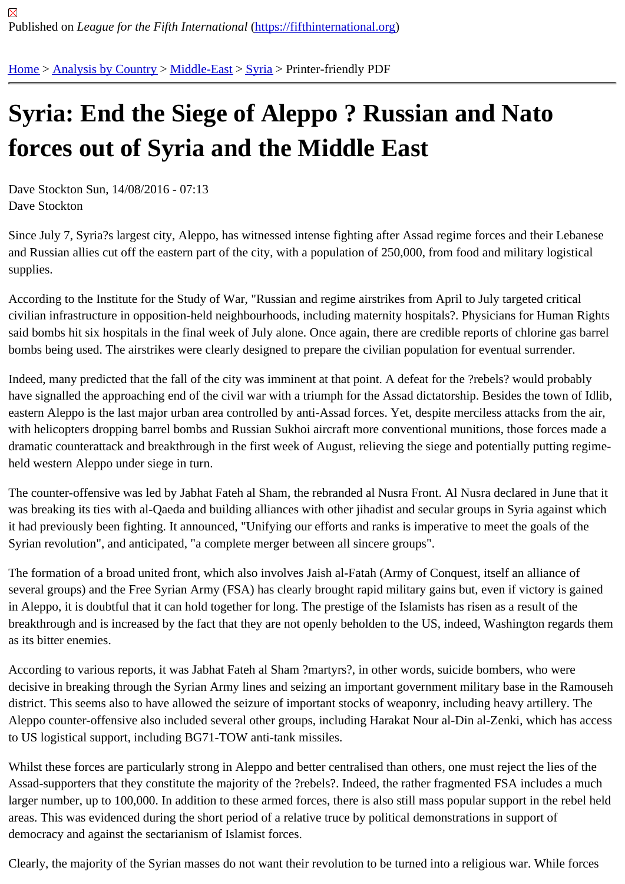## [Syr](https://fifthinternational.org/)i[a: End the](https://fifthinternational.org/category/1) [Siege](https://fifthinternational.org/category/1/178) [of](https://fifthinternational.org/category/1/178/196) Aleppo ? Russian and Nato forces out of Syria and the Middle East

Dave Stockton Sun, 14/08/2016 - 07:13 Dave Stockton

Since July 7, Syria?s largest city, Aleppo, has witnessed intense fighting after Assad regime forces and their Leba and Russian allies cut off the eastern part of the city, with a population of 250,000, from food and military logistical supplies.

According to the Institute for the Study of War, "Russian and regime airstrikes from April to July targeted critical civilian infrastructure in opposition-held neighbourhoods, including maternity hospitals?. Physicians for Human Rig said bombs hit six hospitals in the final week of July alone. Once again, there are credible reports of chlorine gas b bombs being used. The airstrikes were clearly designed to prepare the civilian population for eventual surrender.

Indeed, many predicted that the fall of the city was imminent at that point. A defeat for the ?rebels? would probably have signalled the approaching end of the civil war with a triumph for the Assad dictatorship. Besides the town of I eastern Aleppo is the last major urban area controlled by anti-Assad forces. Yet, despite merciless attacks from th with helicopters dropping barrel bombs and Russian Sukhoi aircraft more conventional munitions, those forces ma dramatic counterattack and breakthrough in the first week of August, relieving the siege and potentially putting reg held western Aleppo under siege in turn.

The counter-offensive was led by Jabhat Fateh al Sham, the rebranded al Nusra Front. Al Nusra declared in June was breaking its ties with al-Qaeda and building alliances with other jihadist and secular groups in Syria against wl it had previously been fighting. It announced, "Unifying our efforts and ranks is imperative to meet the goals of the Syrian revolution", and anticipated, "a complete merger between all sincere groups".

The formation of a broad united front, which also involves Jaish al-Fatah (Army of Conquest, itself an alliance of several groups) and the Free Syrian Army (FSA) has clearly brought rapid military gains but, even if victory is gain in Aleppo, it is doubtful that it can hold together for long. The prestige of the Islamists has risen as a result of the breakthrough and is increased by the fact that they are not openly beholden to the US, indeed, Washington regard as its bitter enemies.

According to various reports, it was Jabhat Fateh al Sham ?martyrs?, in other words, suicide bombers, who were decisive in breaking through the Syrian Army lines and seizing an important government military base in the Ramo district. This seems also to have allowed the seizure of important stocks of weaponry, including heavy artillery. The Aleppo counter-offensive also included several other groups, including Harakat Nour al-Din al-Zenki, which has ac to US logistical support, including BG71-TOW anti-tank missiles.

Whilst these forces are particularly strong in Aleppo and better centralised than others, one must reject the lies of t Assad-supporters that they constitute the majority of the ?rebels?. Indeed, the rather fragmented FSA includes a r larger number, up to 100,000. In addition to these armed forces, there is also still mass popular support in the rebe areas. This was evidenced during the short period of a relative truce by political demonstrations in support of democracy and against the sectarianism of Islamist forces.

Clearly, the majority of the Syrian masses do not want their revolution to be turned into a religious war. While forces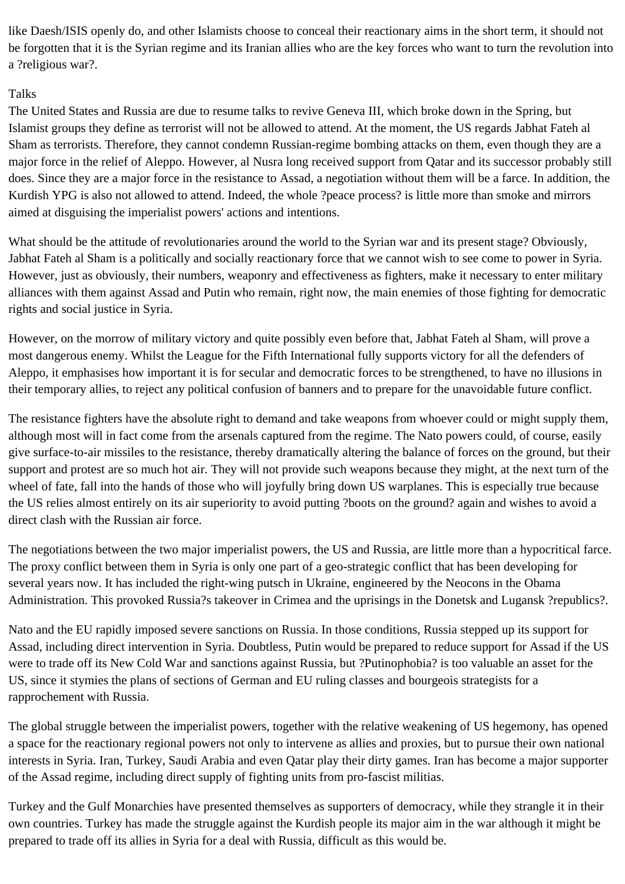like Daesh/ISIS openly do, and other Islamists choose to conceal their reactionary aims in the short term, it should not be forgotten that it is the Syrian regime and its Iranian allies who are the key forces who want to turn the revolution into a ?religious war?.

## **Talks**

The United States and Russia are due to resume talks to revive Geneva III, which broke down in the Spring, but Islamist groups they define as terrorist will not be allowed to attend. At the moment, the US regards Jabhat Fateh al Sham as terrorists. Therefore, they cannot condemn Russian-regime bombing attacks on them, even though they are a major force in the relief of Aleppo. However, al Nusra long received support from Qatar and its successor probably still does. Since they are a major force in the resistance to Assad, a negotiation without them will be a farce. In addition, the Kurdish YPG is also not allowed to attend. Indeed, the whole ?peace process? is little more than smoke and mirrors aimed at disguising the imperialist powers' actions and intentions.

What should be the attitude of revolutionaries around the world to the Syrian war and its present stage? Obviously, Jabhat Fateh al Sham is a politically and socially reactionary force that we cannot wish to see come to power in Syria. However, just as obviously, their numbers, weaponry and effectiveness as fighters, make it necessary to enter military alliances with them against Assad and Putin who remain, right now, the main enemies of those fighting for democratic rights and social justice in Syria.

However, on the morrow of military victory and quite possibly even before that, Jabhat Fateh al Sham, will prove a most dangerous enemy. Whilst the League for the Fifth International fully supports victory for all the defenders of Aleppo, it emphasises how important it is for secular and democratic forces to be strengthened, to have no illusions in their temporary allies, to reject any political confusion of banners and to prepare for the unavoidable future conflict.

The resistance fighters have the absolute right to demand and take weapons from whoever could or might supply them, although most will in fact come from the arsenals captured from the regime. The Nato powers could, of course, easily give surface-to-air missiles to the resistance, thereby dramatically altering the balance of forces on the ground, but their support and protest are so much hot air. They will not provide such weapons because they might, at the next turn of the wheel of fate, fall into the hands of those who will joyfully bring down US warplanes. This is especially true because the US relies almost entirely on its air superiority to avoid putting ?boots on the ground? again and wishes to avoid a direct clash with the Russian air force.

The negotiations between the two major imperialist powers, the US and Russia, are little more than a hypocritical farce. The proxy conflict between them in Syria is only one part of a geo-strategic conflict that has been developing for several years now. It has included the right-wing putsch in Ukraine, engineered by the Neocons in the Obama Administration. This provoked Russia?s takeover in Crimea and the uprisings in the Donetsk and Lugansk ?republics?.

Nato and the EU rapidly imposed severe sanctions on Russia. In those conditions, Russia stepped up its support for Assad, including direct intervention in Syria. Doubtless, Putin would be prepared to reduce support for Assad if the US were to trade off its New Cold War and sanctions against Russia, but ?Putinophobia? is too valuable an asset for the US, since it stymies the plans of sections of German and EU ruling classes and bourgeois strategists for a rapprochement with Russia.

The global struggle between the imperialist powers, together with the relative weakening of US hegemony, has opened a space for the reactionary regional powers not only to intervene as allies and proxies, but to pursue their own national interests in Syria. Iran, Turkey, Saudi Arabia and even Qatar play their dirty games. Iran has become a major supporter of the Assad regime, including direct supply of fighting units from pro-fascist militias.

Turkey and the Gulf Monarchies have presented themselves as supporters of democracy, while they strangle it in their own countries. Turkey has made the struggle against the Kurdish people its major aim in the war although it might be prepared to trade off its allies in Syria for a deal with Russia, difficult as this would be.